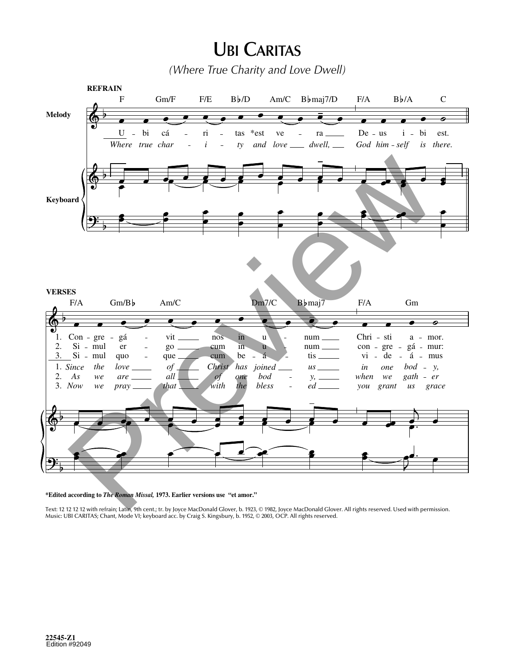## **UBI CARITAS**

*(Where True Charity and Love Dwell)*



**\*Edited according to** *The Roman Missal,* **1973. Earlier versions use "et amor."**

Text: 12 12 12 12 with refrain; Latin, 9th cent.; tr. by Joyce MacDonald Glover, b. 1923, © 1982, Joyce MacDonald Glover. All rights reserved. Used with permission. Music: UBI CARITAS; Chant, Mode VI; keyboard acc. by Craig S. Kingsbury, b. 1952, © 2003, OCP. All rights reserved.